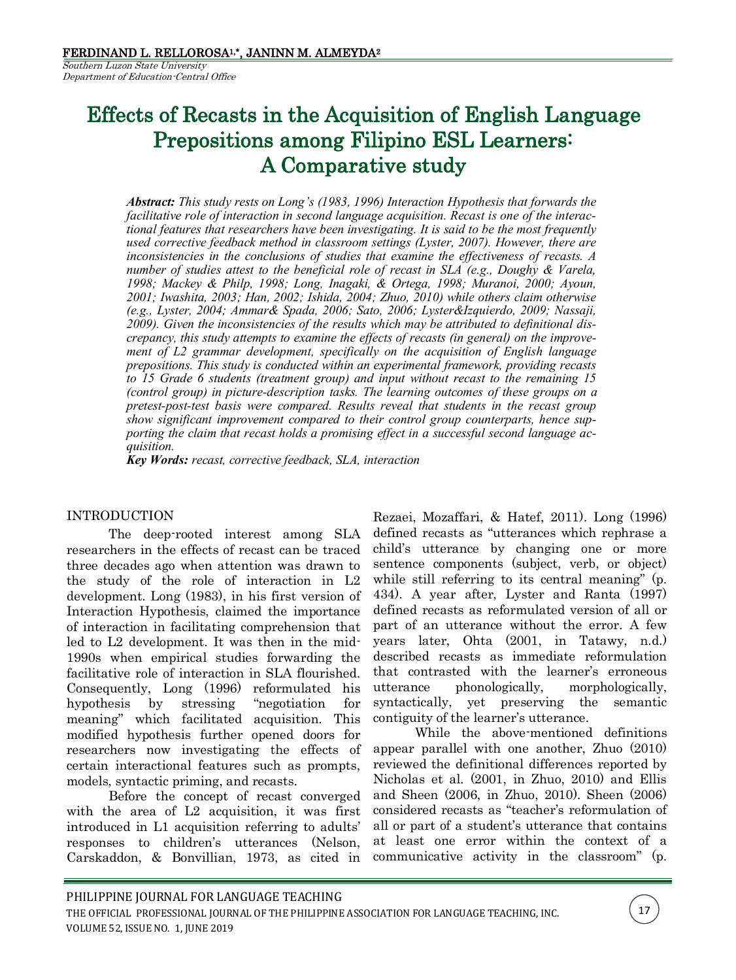Southern Luzon State University Department of Education-Central Office

# Effects of Recasts in the Acquisition of English Language Prepositions among Filipino ESL Learners: A Comparative study

*Abstract: This study rests on Long's (1983, 1996) Interaction Hypothesis that forwards the facilitative role of interaction in second language acquisition. Recast is one of the interactional features that researchers have been investigating. It is said to be the most frequently used corrective feedback method in classroom settings (Lyster, 2007). However, there are inconsistencies in the conclusions of studies that examine the effectiveness of recasts. A number of studies attest to the beneficial role of recast in SLA (e.g., Doughy & Varela, 1998; Mackey & Philp, 1998; Long, Inagaki, & Ortega, 1998; Muranoi, 2000; Ayoun, 2001; Iwashita, 2003; Han, 2002; Ishida, 2004; Zhuo, 2010) while others claim otherwise (e.g., Lyster, 2004; Ammar& Spada, 2006; Sato, 2006; Lyster&Izquierdo, 2009; Nassaji, 2009). Given the inconsistencies of the results which may be attributed to definitional discrepancy, this study attempts to examine the effects of recasts (in general) on the improvement of L2 grammar development, specifically on the acquisition of English language prepositions. This study is conducted within an experimental framework, providing recasts to 15 Grade 6 students (treatment group) and input without recast to the remaining 15 (control group) in picture-description tasks. The learning outcomes of these groups on a pretest-post-test basis were compared. Results reveal that students in the recast group show significant improvement compared to their control group counterparts, hence supporting the claim that recast holds a promising effect in a successful second language acquisition.*

*Key Words: recast, corrective feedback, SLA, interaction* 

## INTRODUCTION

The deep-rooted interest among SLA researchers in the effects of recast can be traced three decades ago when attention was drawn to the study of the role of interaction in L2 development. Long (1983), in his first version of Interaction Hypothesis, claimed the importance of interaction in facilitating comprehension that led to L2 development. It was then in the mid-1990s when empirical studies forwarding the facilitative role of interaction in SLA flourished. Consequently, Long (1996) reformulated his hypothesis by stressing "negotiation for meaning" which facilitated acquisition. This modified hypothesis further opened doors for researchers now investigating the effects of certain interactional features such as prompts, models, syntactic priming, and recasts.

Before the concept of recast converged with the area of L<sub>2</sub> acquisition, it was first introduced in L1 acquisition referring to adults' responses to children's utterances (Nelson, Carskaddon, & Bonvillian, 1973, as cited in

Rezaei, Mozaffari, & Hatef, 2011). Long (1996) defined recasts as "utterances which rephrase a child's utterance by changing one or more sentence components (subject, verb, or object) while still referring to its central meaning" (p. 434). A year after, Lyster and Ranta (1997) defined recasts as reformulated version of all or part of an utterance without the error. A few years later, Ohta (2001, in Tatawy, n.d.) described recasts as immediate reformulation that contrasted with the learner's erroneous utterance phonologically, morphologically, syntactically, yet preserving the semantic contiguity of the learner's utterance.

While the above-mentioned definitions appear parallel with one another, Zhuo (2010) reviewed the definitional differences reported by Nicholas et al. (2001, in Zhuo, 2010) and Ellis and Sheen (2006, in Zhuo, 2010). Sheen (2006) considered recasts as "teacher's reformulation of all or part of a student's utterance that contains at least one error within the context of a communicative activity in the classroom" (p.

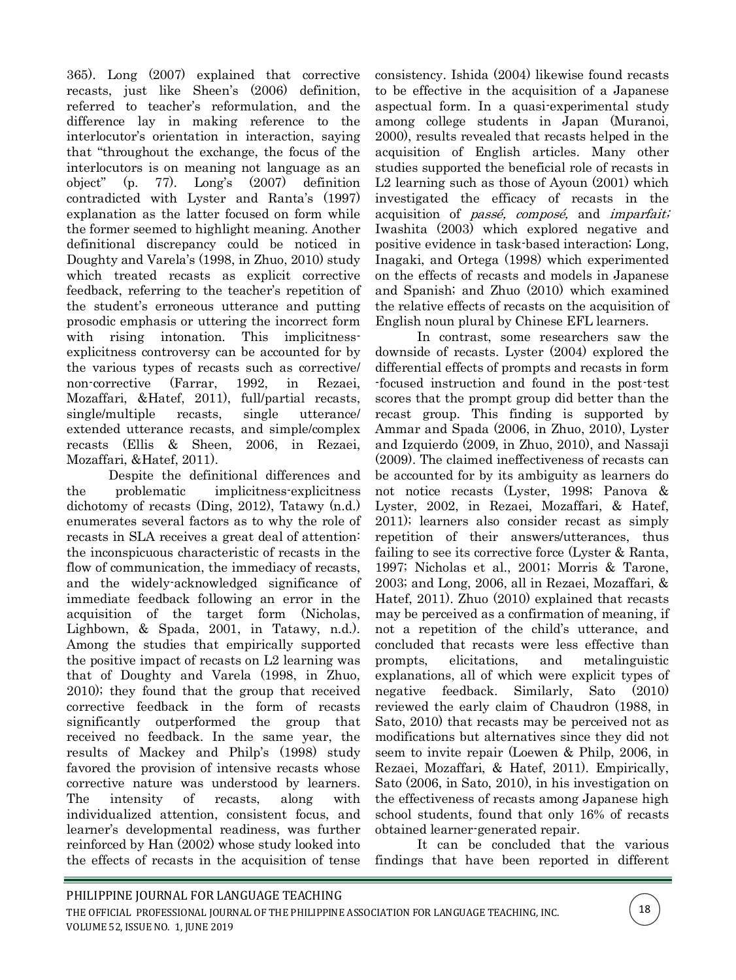365). Long (2007) explained that corrective recasts, just like Sheen's (2006) definition, referred to teacher's reformulation, and the difference lay in making reference to the interlocutor's orientation in interaction, saying that "throughout the exchange, the focus of the interlocutors is on meaning not language as an object" (p. 77). Long's (2007) definition contradicted with Lyster and Ranta's (1997) explanation as the latter focused on form while the former seemed to highlight meaning. Another definitional discrepancy could be noticed in Doughty and Varela's (1998, in Zhuo, 2010) study which treated recasts as explicit corrective feedback, referring to the teacher's repetition of the student's erroneous utterance and putting prosodic emphasis or uttering the incorrect form with rising intonation. This implicitnessexplicitness controversy can be accounted for by the various types of recasts such as corrective/ non-corrective (Farrar, 1992, in Rezaei, Mozaffari, &Hatef, 2011), full/partial recasts, single/multiple recasts, single utterance/ extended utterance recasts, and simple/complex recasts (Ellis & Sheen, 2006, in Rezaei, Mozaffari, &Hatef, 2011).

Despite the definitional differences and the problematic implicitness-explicitness dichotomy of recasts (Ding, 2012), Tatawy (n.d.) enumerates several factors as to why the role of recasts in SLA receives a great deal of attention: the inconspicuous characteristic of recasts in the flow of communication, the immediacy of recasts, and the widely-acknowledged significance of immediate feedback following an error in the acquisition of the target form (Nicholas, Lighbown, & Spada, 2001, in Tatawy, n.d.). Among the studies that empirically supported the positive impact of recasts on L2 learning was that of Doughty and Varela (1998, in Zhuo, 2010); they found that the group that received corrective feedback in the form of recasts significantly outperformed the group that received no feedback. In the same year, the results of Mackey and Philp's (1998) study favored the provision of intensive recasts whose corrective nature was understood by learners. The intensity of recasts, along with individualized attention, consistent focus, and learner's developmental readiness, was further reinforced by Han (2002) whose study looked into the effects of recasts in the acquisition of tense

consistency. Ishida (2004) likewise found recasts to be effective in the acquisition of a Japanese aspectual form. In a quasi-experimental study among college students in Japan (Muranoi, 2000), results revealed that recasts helped in the acquisition of English articles. Many other studies supported the beneficial role of recasts in L2 learning such as those of Ayoun (2001) which investigated the efficacy of recasts in the acquisition of *passé*, *composé*, and *imparfait*; Iwashita (2003) which explored negative and positive evidence in task-based interaction; Long, Inagaki, and Ortega (1998) which experimented on the effects of recasts and models in Japanese and Spanish; and Zhuo (2010) which examined the relative effects of recasts on the acquisition of English noun plural by Chinese EFL learners.

In contrast, some researchers saw the downside of recasts. Lyster (2004) explored the differential effects of prompts and recasts in form -focused instruction and found in the post-test scores that the prompt group did better than the recast group. This finding is supported by Ammar and Spada (2006, in Zhuo, 2010), Lyster and Izquierdo (2009, in Zhuo, 2010), and Nassaji (2009). The claimed ineffectiveness of recasts can be accounted for by its ambiguity as learners do not notice recasts (Lyster, 1998; Panova & Lyster, 2002, in Rezaei, Mozaffari, & Hatef, 2011); learners also consider recast as simply repetition of their answers/utterances, thus failing to see its corrective force (Lyster & Ranta, 1997; Nicholas et al., 2001; Morris & Tarone, 2003; and Long, 2006, all in Rezaei, Mozaffari, & Hatef, 2011). Zhuo (2010) explained that recasts may be perceived as a confirmation of meaning, if not a repetition of the child's utterance, and concluded that recasts were less effective than prompts, elicitations, and metalinguistic explanations, all of which were explicit types of negative feedback. Similarly, Sato (2010) reviewed the early claim of Chaudron (1988, in Sato, 2010) that recasts may be perceived not as modifications but alternatives since they did not seem to invite repair (Loewen & Philp, 2006, in Rezaei, Mozaffari, & Hatef, 2011). Empirically, Sato (2006, in Sato, 2010), in his investigation on the effectiveness of recasts among Japanese high school students, found that only 16% of recasts obtained learner-generated repair.

It can be concluded that the various findings that have been reported in different

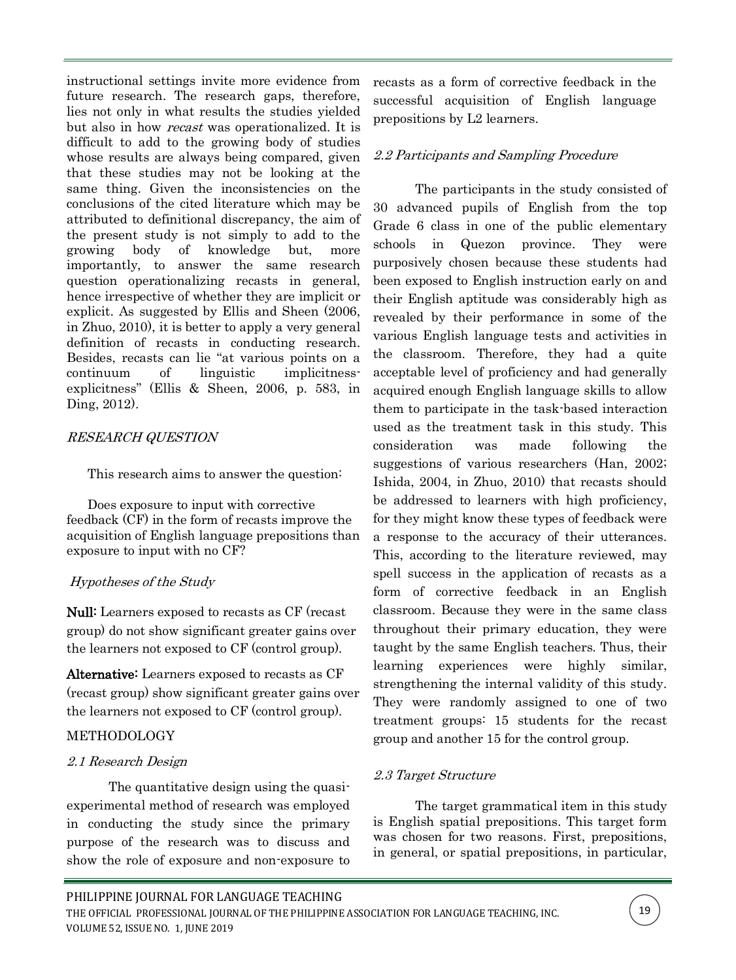instructional settings invite more evidence from future research. The research gaps, therefore, lies not only in what results the studies yielded but also in how *recast* was operationalized. It is difficult to add to the growing body of studies whose results are always being compared, given that these studies may not be looking at the same thing. Given the inconsistencies on the conclusions of the cited literature which may be attributed to definitional discrepancy, the aim of the present study is not simply to add to the growing body of knowledge but, more importantly, to answer the same research question operationalizing recasts in general, hence irrespective of whether they are implicit or explicit. As suggested by Ellis and Sheen (2006, in Zhuo, 2010), it is better to apply a very general definition of recasts in conducting research. Besides, recasts can lie "at various points on a continuum of linguistic implicitnessexplicitness" (Ellis & Sheen, 2006, p. 583, in Ding, 2012).

# RESEARCH QUESTION

This research aims to answer the question:

Does exposure to input with corrective feedback (CF) in the form of recasts improve the acquisition of English language prepositions than exposure to input with no CF?

# Hypotheses of the Study

Null: Learners exposed to recasts as CF (recast group) do not show significant greater gains over the learners not exposed to CF (control group).

Alternative: Learners exposed to recasts as CF (recast group) show significant greater gains over the learners not exposed to CF (control group).

# **METHODOLOGY**

# 2.1 Research Design

The quantitative design using the quasiexperimental method of research was employed in conducting the study since the primary purpose of the research was to discuss and show the role of exposure and non-exposure to

recasts as a form of corrective feedback in the successful acquisition of English language prepositions by L2 learners.

# 2.2 Participants and Sampling Procedure

The participants in the study consisted of 30 advanced pupils of English from the top Grade 6 class in one of the public elementary schools in Quezon province. They were purposively chosen because these students had been exposed to English instruction early on and their English aptitude was considerably high as revealed by their performance in some of the various English language tests and activities in the classroom. Therefore, they had a quite acceptable level of proficiency and had generally acquired enough English language skills to allow them to participate in the task-based interaction used as the treatment task in this study. This consideration was made following the suggestions of various researchers (Han, 2002; Ishida, 2004, in Zhuo, 2010) that recasts should be addressed to learners with high proficiency, for they might know these types of feedback were a response to the accuracy of their utterances. This, according to the literature reviewed, may spell success in the application of recasts as a form of corrective feedback in an English classroom. Because they were in the same class throughout their primary education, they were taught by the same English teachers. Thus, their learning experiences were highly similar, strengthening the internal validity of this study. They were randomly assigned to one of two treatment groups: 15 students for the recast group and another 15 for the control group.

# 2.3 Target Structure

The target grammatical item in this study is English spatial prepositions. This target form was chosen for two reasons. First, prepositions, in general, or spatial prepositions, in particular,

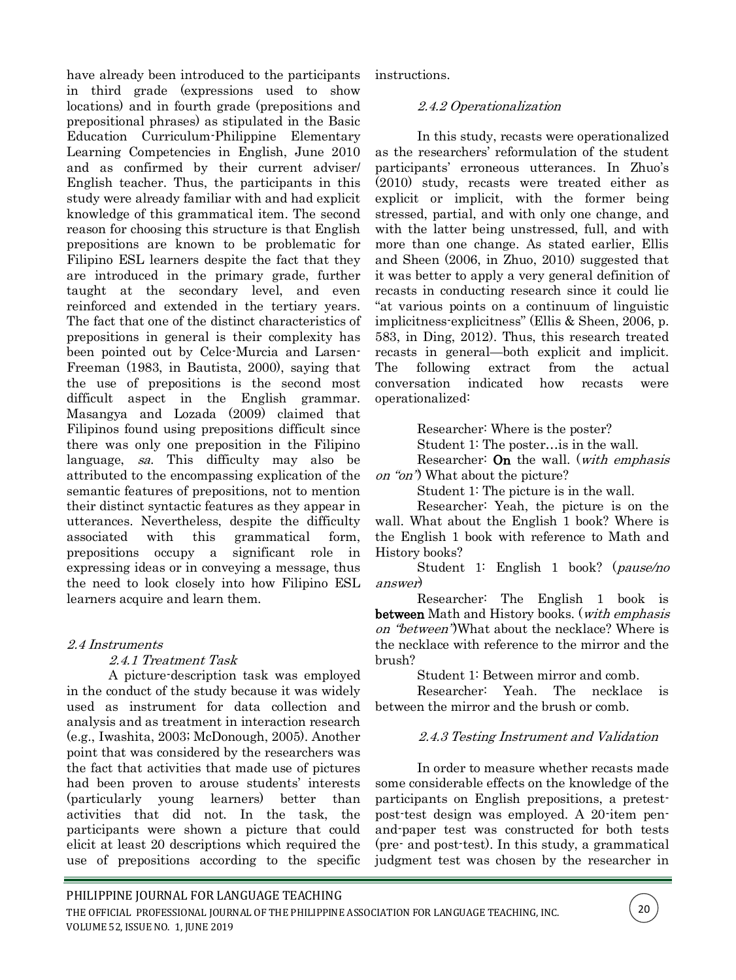have already been introduced to the participants in third grade (expressions used to show locations) and in fourth grade (prepositions and prepositional phrases) as stipulated in the Basic Education Curriculum-Philippine Elementary Learning Competencies in English, June 2010 and as confirmed by their current adviser/ English teacher. Thus, the participants in this study were already familiar with and had explicit knowledge of this grammatical item. The second reason for choosing this structure is that English prepositions are known to be problematic for Filipino ESL learners despite the fact that they are introduced in the primary grade, further taught at the secondary level, and even reinforced and extended in the tertiary years. The fact that one of the distinct characteristics of prepositions in general is their complexity has been pointed out by Celce-Murcia and Larsen-Freeman (1983, in Bautista, 2000), saying that the use of prepositions is the second most difficult aspect in the English grammar. Masangya and Lozada (2009) claimed that Filipinos found using prepositions difficult since there was only one preposition in the Filipino language, sa. This difficulty may also be attributed to the encompassing explication of the semantic features of prepositions, not to mention their distinct syntactic features as they appear in utterances. Nevertheless, despite the difficulty associated with this grammatical form, prepositions occupy a significant role in expressing ideas or in conveying a message, thus the need to look closely into how Filipino ESL learners acquire and learn them.

## 2.4 Instruments

#### 2.4.1 Treatment Task

A picture-description task was employed in the conduct of the study because it was widely used as instrument for data collection and analysis and as treatment in interaction research (e.g., Iwashita, 2003; McDonough, 2005). Another point that was considered by the researchers was the fact that activities that made use of pictures had been proven to arouse students' interests (particularly young learners) better than activities that did not. In the task, the participants were shown a picture that could elicit at least 20 descriptions which required the use of prepositions according to the specific

instructions.

#### 2.4.2 Operationalization

In this study, recasts were operationalized as the researchers' reformulation of the student participants' erroneous utterances. In Zhuo's (2010) study, recasts were treated either as explicit or implicit, with the former being stressed, partial, and with only one change, and with the latter being unstressed, full, and with more than one change. As stated earlier, Ellis and Sheen (2006, in Zhuo, 2010) suggested that it was better to apply a very general definition of recasts in conducting research since it could lie "at various points on a continuum of linguistic implicitness-explicitness" (Ellis & Sheen, 2006, p. 583, in Ding, 2012). Thus, this research treated recasts in general—both explicit and implicit. The following extract from the actual conversation indicated how recasts were operationalized:

Researcher: Where is the poster?

Student 1: The poster…is in the wall.

Researcher: **On** the wall. (*with emphasis* on "on") What about the picture?

Student 1: The picture is in the wall.

Researcher: Yeah, the picture is on the wall. What about the English 1 book? Where is the English 1 book with reference to Math and History books?

Student 1: English 1 book? (pause/no answer)

Researcher: The English 1 book is between Math and History books. (*with emphasis* on "between")What about the necklace? Where is the necklace with reference to the mirror and the brush?

Student 1: Between mirror and comb.

Researcher: Yeah. The necklace is between the mirror and the brush or comb.

## 2.4.3 Testing Instrument and Validation

In order to measure whether recasts made some considerable effects on the knowledge of the participants on English prepositions, a pretestpost-test design was employed. A 20-item penand-paper test was constructed for both tests (pre- and post-test). In this study, a grammatical judgment test was chosen by the researcher in

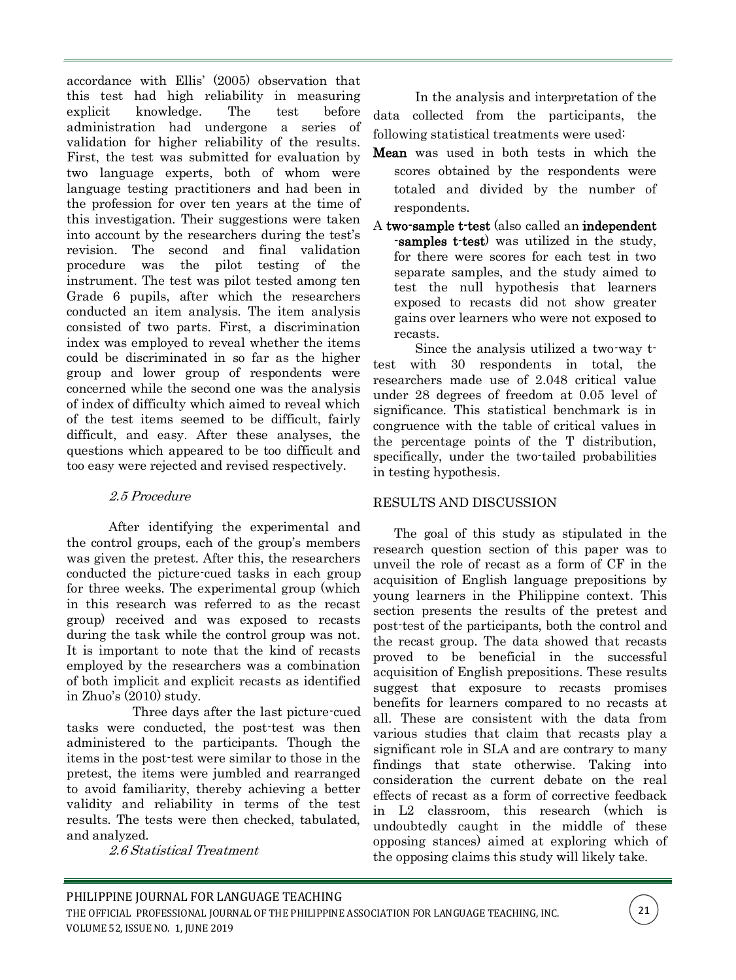accordance with Ellis' (2005) observation that this test had high reliability in measuring explicit knowledge. The test before administration had undergone a series of validation for higher reliability of the results. First, the test was submitted for evaluation by two language experts, both of whom were language testing practitioners and had been in the profession for over ten years at the time of this investigation. Their suggestions were taken into account by the researchers during the test's revision. The second and final validation procedure was the pilot testing of the instrument. The test was pilot tested among ten Grade 6 pupils, after which the researchers conducted an item analysis. The item analysis consisted of two parts. First, a discrimination index was employed to reveal whether the items could be discriminated in so far as the higher group and lower group of respondents were concerned while the second one was the analysis of index of difficulty which aimed to reveal which of the test items seemed to be difficult, fairly difficult, and easy. After these analyses, the questions which appeared to be too difficult and too easy were rejected and revised respectively.

# 2.5 Procedure

After identifying the experimental and the control groups, each of the group's members was given the pretest. After this, the researchers conducted the picture-cued tasks in each group for three weeks. The experimental group (which in this research was referred to as the recast group) received and was exposed to recasts during the task while the control group was not. It is important to note that the kind of recasts employed by the researchers was a combination of both implicit and explicit recasts as identified in Zhuo's (2010) study.

Three days after the last picture-cued tasks were conducted, the post-test was then administered to the participants. Though the items in the post-test were similar to those in the pretest, the items were jumbled and rearranged to avoid familiarity, thereby achieving a better validity and reliability in terms of the test results. The tests were then checked, tabulated, and analyzed.

2.6 Statistical Treatment

In the analysis and interpretation of the data collected from the participants, the following statistical treatments were used:

- Mean was used in both tests in which the scores obtained by the respondents were totaled and divided by the number of respondents.
- A two-sample t-test (also called an independent -samples t-test) was utilized in the study, for there were scores for each test in two separate samples, and the study aimed to test the null hypothesis that learners exposed to recasts did not show greater gains over learners who were not exposed to recasts.

Since the analysis utilized a two-way ttest with 30 respondents in total, the researchers made use of 2.048 critical value under 28 degrees of freedom at 0.05 level of significance. This statistical benchmark is in congruence with the table of critical values in the percentage points of the T distribution, specifically, under the two-tailed probabilities in testing hypothesis.

# RESULTS AND DISCUSSION

The goal of this study as stipulated in the research question section of this paper was to unveil the role of recast as a form of CF in the acquisition of English language prepositions by young learners in the Philippine context. This section presents the results of the pretest and post-test of the participants, both the control and the recast group. The data showed that recasts proved to be beneficial in the successful acquisition of English prepositions. These results suggest that exposure to recasts promises benefits for learners compared to no recasts at all. These are consistent with the data from various studies that claim that recasts play a significant role in SLA and are contrary to many findings that state otherwise. Taking into consideration the current debate on the real effects of recast as a form of corrective feedback in L2 classroom, this research (which is undoubtedly caught in the middle of these opposing stances) aimed at exploring which of the opposing claims this study will likely take.

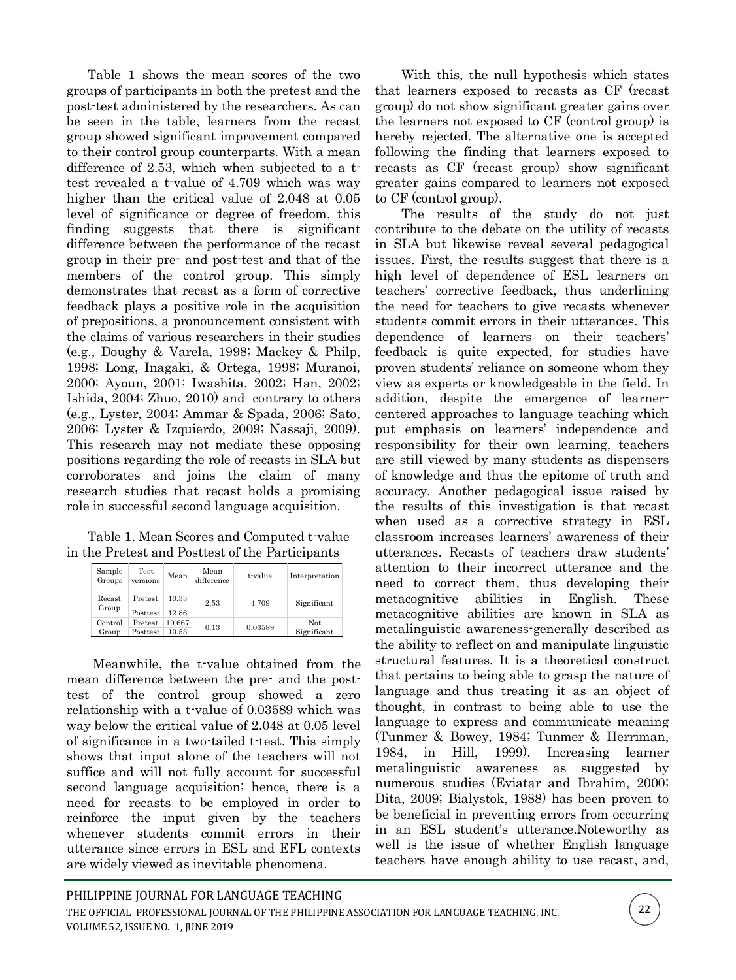Table 1 shows the mean scores of the two groups of participants in both the pretest and the post-test administered by the researchers. As can be seen in the table, learners from the recast group showed significant improvement compared to their control group counterparts. With a mean difference of 2.53, which when subjected to a ttest revealed a t-value of 4.709 which was way higher than the critical value of 2.048 at 0.05 level of significance or degree of freedom, this finding suggests that there is significant difference between the performance of the recast group in their pre- and post-test and that of the members of the control group. This simply demonstrates that recast as a form of corrective feedback plays a positive role in the acquisition of prepositions, a pronouncement consistent with the claims of various researchers in their studies (e.g., Doughy & Varela, 1998; Mackey & Philp, 1998; Long, Inagaki, & Ortega, 1998; Muranoi, 2000; Ayoun, 2001; Iwashita, 2002; Han, 2002; Ishida, 2004; Zhuo, 2010) and contrary to others (e.g., Lyster, 2004; Ammar & Spada, 2006; Sato, 2006; Lyster & Izquierdo, 2009; Nassaji, 2009). This research may not mediate these opposing positions regarding the role of recasts in SLA but corroborates and joins the claim of many research studies that recast holds a promising role in successful second language acquisition.

Table 1. Mean Scores and Computed t-value in the Pretest and Posttest of the Participants

| Sample<br>Groups | <b>Test</b><br>versions | Mean   | Mean<br>difference | t-value     | Interpretation |
|------------------|-------------------------|--------|--------------------|-------------|----------------|
| Recast<br>Group  | Pretest                 | 10.33  | 2.53               | 4.709       | Significant    |
|                  | <b>Posttest</b>         | 12.86  |                    |             |                |
| Control          | Pretest                 | 10.667 |                    | 0.03589     | Not.           |
| Group            | Posttest<br>10.53       | 0.13   |                    | Significant |                |

Meanwhile, the t-value obtained from the mean difference between the pre- and the posttest of the control group showed a zero relationship with a t-value of 0.03589 which was way below the critical value of 2.048 at 0.05 level of significance in a two-tailed t-test. This simply shows that input alone of the teachers will not suffice and will not fully account for successful second language acquisition; hence, there is a need for recasts to be employed in order to reinforce the input given by the teachers whenever students commit errors in their utterance since errors in ESL and EFL contexts are widely viewed as inevitable phenomena.

With this, the null hypothesis which states that learners exposed to recasts as CF (recast group) do not show significant greater gains over the learners not exposed to CF (control group) is hereby rejected. The alternative one is accepted following the finding that learners exposed to recasts as CF (recast group) show significant greater gains compared to learners not exposed to CF (control group).

The results of the study do not just contribute to the debate on the utility of recasts in SLA but likewise reveal several pedagogical issues. First, the results suggest that there is a high level of dependence of ESL learners on teachers' corrective feedback, thus underlining the need for teachers to give recasts whenever students commit errors in their utterances. This dependence of learners on their teachers' feedback is quite expected, for studies have proven students' reliance on someone whom they view as experts or knowledgeable in the field. In addition, despite the emergence of learnercentered approaches to language teaching which put emphasis on learners' independence and responsibility for their own learning, teachers are still viewed by many students as dispensers of knowledge and thus the epitome of truth and accuracy. Another pedagogical issue raised by the results of this investigation is that recast when used as a corrective strategy in ESL classroom increases learners' awareness of their utterances. Recasts of teachers draw students' attention to their incorrect utterance and the need to correct them, thus developing their metacognitive abilities in English. These metacognitive abilities are known in SLA as metalinguistic awareness-generally described as the ability to reflect on and manipulate linguistic structural features. It is a theoretical construct that pertains to being able to grasp the nature of language and thus treating it as an object of thought, in contrast to being able to use the language to express and communicate meaning (Tunmer & Bowey, 1984; Tunmer & Herriman, 1984, in Hill, 1999). Increasing learner metalinguistic awareness as suggested by numerous studies (Eviatar and Ibrahim, 2000; Dita, 2009; Bialystok, 1988) has been proven to be beneficial in preventing errors from occurring in an ESL student's utterance.Noteworthy as well is the issue of whether English language teachers have enough ability to use recast, and,

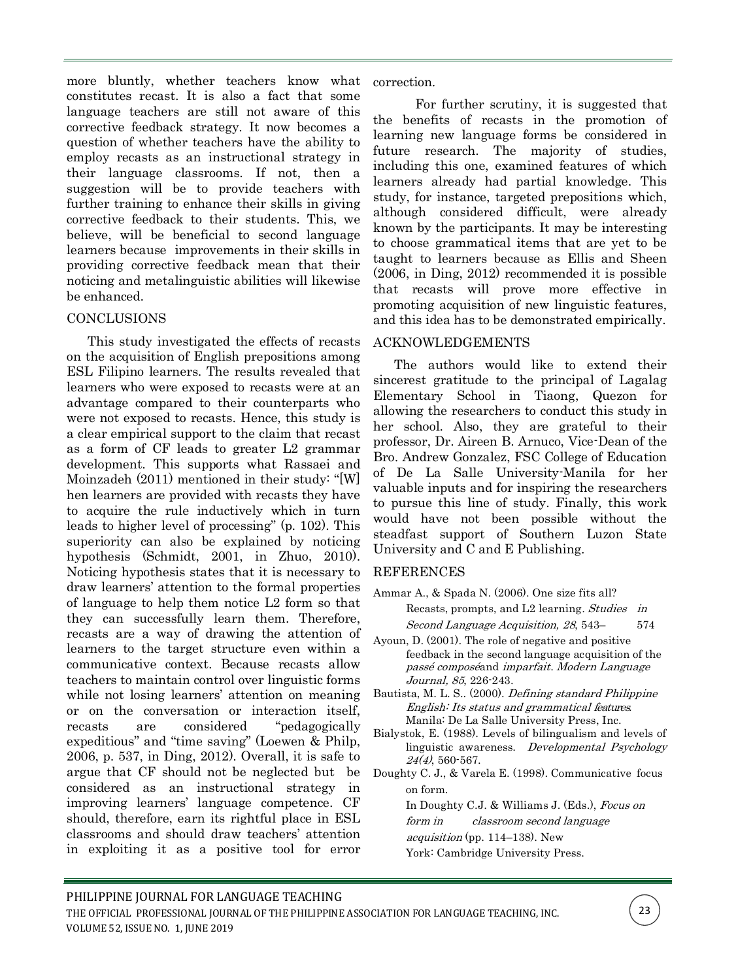more bluntly, whether teachers know what constitutes recast. It is also a fact that some language teachers are still not aware of this corrective feedback strategy. It now becomes a question of whether teachers have the ability to employ recasts as an instructional strategy in their language classrooms. If not, then a suggestion will be to provide teachers with further training to enhance their skills in giving corrective feedback to their students. This, we believe, will be beneficial to second language learners because improvements in their skills in providing corrective feedback mean that their noticing and metalinguistic abilities will likewise be enhanced.

## **CONCLUSIONS**

This study investigated the effects of recasts on the acquisition of English prepositions among ESL Filipino learners. The results revealed that learners who were exposed to recasts were at an advantage compared to their counterparts who were not exposed to recasts. Hence, this study is a clear empirical support to the claim that recast as a form of CF leads to greater L2 grammar development. This supports what Rassaei and Moinzadeh (2011) mentioned in their study: "[W] hen learners are provided with recasts they have to acquire the rule inductively which in turn leads to higher level of processing" (p. 102). This superiority can also be explained by noticing hypothesis (Schmidt, 2001, in Zhuo, 2010). Noticing hypothesis states that it is necessary to draw learners' attention to the formal properties of language to help them notice L2 form so that they can successfully learn them. Therefore, recasts are a way of drawing the attention of learners to the target structure even within a communicative context. Because recasts allow teachers to maintain control over linguistic forms while not losing learners' attention on meaning or on the conversation or interaction itself, recasts are considered "pedagogically expeditious" and "time saving" (Loewen & Philp, 2006, p. 537, in Ding, 2012). Overall, it is safe to argue that CF should not be neglected but be considered as an instructional strategy in improving learners' language competence. CF should, therefore, earn its rightful place in ESL classrooms and should draw teachers' attention in exploiting it as a positive tool for error

correction.

For further scrutiny, it is suggested that the benefits of recasts in the promotion of learning new language forms be considered in future research. The majority of studies, including this one, examined features of which learners already had partial knowledge. This study, for instance, targeted prepositions which, although considered difficult, were already known by the participants. It may be interesting to choose grammatical items that are yet to be taught to learners because as Ellis and Sheen (2006, in Ding, 2012) recommended it is possible that recasts will prove more effective in promoting acquisition of new linguistic features, and this idea has to be demonstrated empirically.

## ACKNOWLEDGEMENTS

The authors would like to extend their sincerest gratitude to the principal of Lagalag Elementary School in Tiaong, Quezon for allowing the researchers to conduct this study in her school. Also, they are grateful to their professor, Dr. Aireen B. Arnuco, Vice-Dean of the Bro. Andrew Gonzalez, FSC College of Education of De La Salle University-Manila for her valuable inputs and for inspiring the researchers to pursue this line of study. Finally, this work would have not been possible without the steadfast support of Southern Luzon State University and C and E Publishing.

# REFERENCES

- Ammar A., & Spada N. (2006). One size fits all? Recasts, prompts, and L2 learning. Studies in Second Language Acquisition, <sup>28</sup>, 543– 574
- Ayoun, D. (2001). The role of negative and positive feedback in the second language acquisition of the passé composéand imparfait. Modern Language Journal, 85, 226-243.
- Bautista, M. L. S.. (2000). Defining standard Philippine English: Its status and grammatical features. Manila: De La Salle University Press, Inc.
- Bialystok, E. (1988). Levels of bilingualism and levels of linguistic awareness. Developmental Psychology 24(4), 560-567.
- Doughty C. J., & Varela E. (1998). Communicative focus on form.

In Doughty C.J. & Williams J. (Eds.), Focus on

form in classroom second language

- *acquisition* (pp.  $114-138$ ). New
- York: Cambridge University Press.